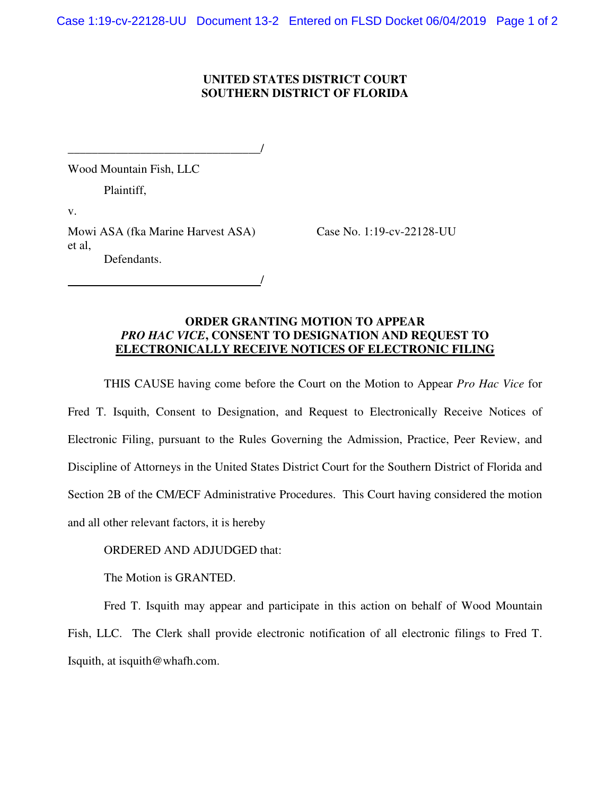## **UNITED STATES DISTRICT COURT SOUTHERN DISTRICT OF FLORIDA**

\_\_\_\_\_\_\_\_\_\_\_\_\_\_\_\_\_\_\_\_\_\_\_\_\_\_\_\_\_\_\_\_/

Wood Mountain Fish, LLC

Plaintiff,

v.

Mowi ASA (fka Marine Harvest ASA) Case No. 1:19-cv-22128-UU et al, Defendants.

/

## **ORDER GRANTING MOTION TO APPEAR**  *PRO HAC VICE***, CONSENT TO DESIGNATION AND REQUEST TO ELECTRONICALLY RECEIVE NOTICES OF ELECTRONIC FILING**

THIS CAUSE having come before the Court on the Motion to Appear *Pro Hac Vice* for Fred T. Isquith, Consent to Designation, and Request to Electronically Receive Notices of Electronic Filing, pursuant to the Rules Governing the Admission, Practice, Peer Review, and Discipline of Attorneys in the United States District Court for the Southern District of Florida and Section 2B of the CM/ECF Administrative Procedures. This Court having considered the motion and all other relevant factors, it is hereby

## ORDERED AND ADJUDGED that:

The Motion is GRANTED.

Fred T. Isquith may appear and participate in this action on behalf of Wood Mountain Fish, LLC. The Clerk shall provide electronic notification of all electronic filings to Fred T. Isquith, at isquith@whafh.com.